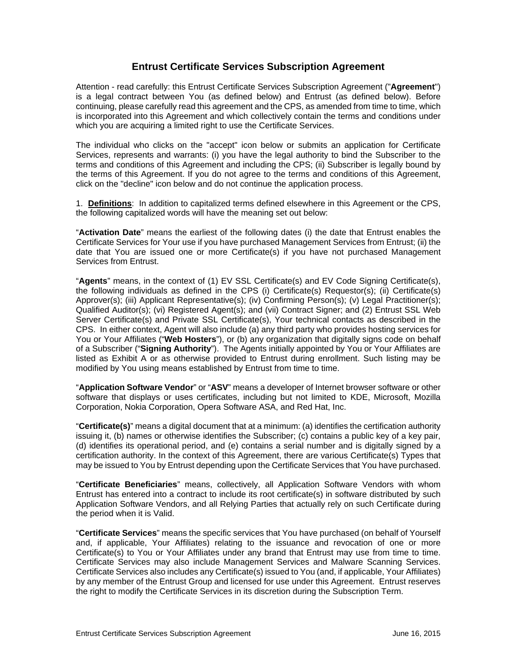# **Entrust Certificate Services Subscription Agreement**

Attention - read carefully: this Entrust Certificate Services Subscription Agreement ("**Agreement**") is a legal contract between You (as defined below) and Entrust (as defined below). Before continuing, please carefully read this agreement and the CPS, as amended from time to time, which is incorporated into this Agreement and which collectively contain the terms and conditions under which you are acquiring a limited right to use the Certificate Services.

The individual who clicks on the "accept" icon below or submits an application for Certificate Services, represents and warrants: (i) you have the legal authority to bind the Subscriber to the terms and conditions of this Agreement and including the CPS; (ii) Subscriber is legally bound by the terms of this Agreement. If you do not agree to the terms and conditions of this Agreement, click on the "decline" icon below and do not continue the application process.

1. **Definitions**: In addition to capitalized terms defined elsewhere in this Agreement or the CPS, the following capitalized words will have the meaning set out below:

"**Activation Date**" means the earliest of the following dates (i) the date that Entrust enables the Certificate Services for Your use if you have purchased Management Services from Entrust; (ii) the date that You are issued one or more Certificate(s) if you have not purchased Management Services from Entrust.

"**Agents**" means, in the context of (1) EV SSL Certificate(s) and EV Code Signing Certificate(s), the following individuals as defined in the CPS (i) Certificate(s) Requestor(s); (ii) Certificate(s) Approver(s); (iii) Applicant Representative(s); (iv) Confirming Person(s); (v) Legal Practitioner(s); Qualified Auditor(s); (vi) Registered Agent(s); and (vii) Contract Signer; and (2) Entrust SSL Web Server Certificate(s) and Private SSL Certificate(s), Your technical contacts as described in the CPS. In either context, Agent will also include (a) any third party who provides hosting services for You or Your Affiliates ("**Web Hosters**"), or (b) any organization that digitally signs code on behalf of a Subscriber ("**Signing Authority**"). The Agents initially appointed by You or Your Affiliates are listed as Exhibit A or as otherwise provided to Entrust during enrollment. Such listing may be modified by You using means established by Entrust from time to time.

"**Application Software Vendor**" or "**ASV**" means a developer of Internet browser software or other software that displays or uses certificates, including but not limited to KDE, Microsoft, Mozilla Corporation, Nokia Corporation, Opera Software ASA, and Red Hat, Inc.

"**Certificate(s)**" means a digital document that at a minimum: (a) identifies the certification authority issuing it, (b) names or otherwise identifies the Subscriber; (c) contains a public key of a key pair, (d) identifies its operational period, and (e) contains a serial number and is digitally signed by a certification authority. In the context of this Agreement, there are various Certificate(s) Types that may be issued to You by Entrust depending upon the Certificate Services that You have purchased.

"**Certificate Beneficiaries**" means, collectively, all Application Software Vendors with whom Entrust has entered into a contract to include its root certificate(s) in software distributed by such Application Software Vendors, and all Relying Parties that actually rely on such Certificate during the period when it is Valid.

"**Certificate Services**" means the specific services that You have purchased (on behalf of Yourself and, if applicable, Your Affiliates) relating to the issuance and revocation of one or more Certificate(s) to You or Your Affiliates under any brand that Entrust may use from time to time. Certificate Services may also include Management Services and Malware Scanning Services. Certificate Services also includes any Certificate(s) issued to You (and, if applicable, Your Affiliates) by any member of the Entrust Group and licensed for use under this Agreement. Entrust reserves the right to modify the Certificate Services in its discretion during the Subscription Term.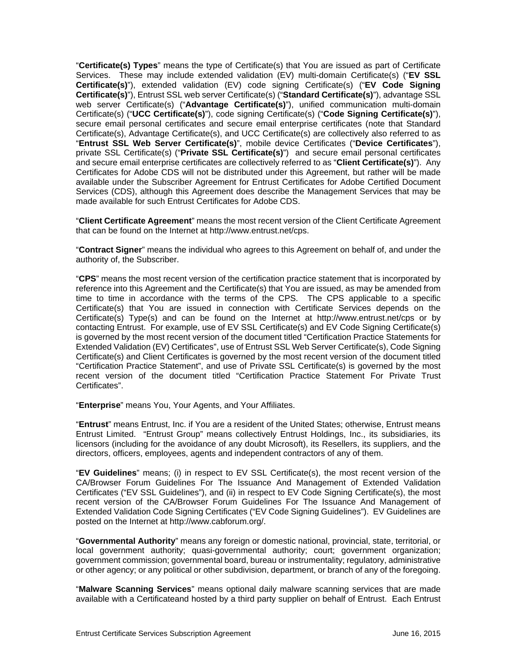"**Certificate(s) Types**" means the type of Certificate(s) that You are issued as part of Certificate Services. These may include extended validation (EV) multi-domain Certificate(s) ("**EV SSL Certificate(s)**"), extended validation (EV) code signing Certificate(s) ("**EV Code Signing Certificate(s)**"), Entrust SSL web server Certificate(s) ("**Standard Certificate(s)**"), advantage SSL web server Certificate(s) ("**Advantage Certificate(s)**"), unified communication multi-domain Certificate(s) ("**UCC Certificate(s)**"), code signing Certificate(s) ("**Code Signing Certificate(s)**"), secure email personal certificates and secure email enterprise certificates (note that Standard Certificate(s), Advantage Certificate(s), and UCC Certificate(s) are collectively also referred to as "**Entrust SSL Web Server Certificate(s)**", mobile device Certificates ("**Device Certificates**"), private SSL Certificate(s) ("**Private SSL Certificate(s)**") and secure email personal certificates and secure email enterprise certificates are collectively referred to as "**Client Certificate(s)**"). Any Certificates for Adobe CDS will not be distributed under this Agreement, but rather will be made available under the Subscriber Agreement for Entrust Certificates for Adobe Certified Document Services (CDS), although this Agreement does describe the Management Services that may be made available for such Entrust Certificates for Adobe CDS.

"**Client Certificate Agreement**" means the most recent version of the Client Certificate Agreement that can be found on the Internet at http://www.entrust.net/cps.

"**Contract Signer**" means the individual who agrees to this Agreement on behalf of, and under the authority of, the Subscriber.

"**CPS**" means the most recent version of the certification practice statement that is incorporated by reference into this Agreement and the Certificate(s) that You are issued, as may be amended from time to time in accordance with the terms of the CPS. The CPS applicable to a specific Certificate(s) that You are issued in connection with Certificate Services depends on the Certificate(s) Type(s) and can be found on the Internet at http://www.entrust.net/cps or by contacting Entrust. For example, use of EV SSL Certificate(s) and EV Code Signing Certificate(s) is governed by the most recent version of the document titled "Certification Practice Statements for Extended Validation (EV) Certificates", use of Entrust SSL Web Server Certificate(s), Code Signing Certificate(s) and Client Certificates is governed by the most recent version of the document titled "Certification Practice Statement", and use of Private SSL Certificate(s) is governed by the most recent version of the document titled "Certification Practice Statement For Private Trust Certificates".

"**Enterprise**" means You, Your Agents, and Your Affiliates.

"**Entrust**" means Entrust, Inc. if You are a resident of the United States; otherwise, Entrust means Entrust Limited. "Entrust Group" means collectively Entrust Holdings, Inc., its subsidiaries, its licensors (including for the avoidance of any doubt Microsoft), its Resellers, its suppliers, and the directors, officers, employees, agents and independent contractors of any of them.

"**EV Guidelines**" means; (i) in respect to EV SSL Certificate(s), the most recent version of the CA/Browser Forum Guidelines For The Issuance And Management of Extended Validation Certificates ("EV SSL Guidelines"), and (ii) in respect to EV Code Signing Certificate(s), the most recent version of the CA/Browser Forum Guidelines For The Issuance And Management of Extended Validation Code Signing Certificates ("EV Code Signing Guidelines"). EV Guidelines are posted on the Internet at http://www.cabforum.org/.

"**Governmental Authority**" means any foreign or domestic national, provincial, state, territorial, or local government authority; quasi-governmental authority; court; government organization; government commission; governmental board, bureau or instrumentality; regulatory, administrative or other agency; or any political or other subdivision, department, or branch of any of the foregoing.

"**Malware Scanning Services**" means optional daily malware scanning services that are made available with a Certificateand hosted by a third party supplier on behalf of Entrust. Each Entrust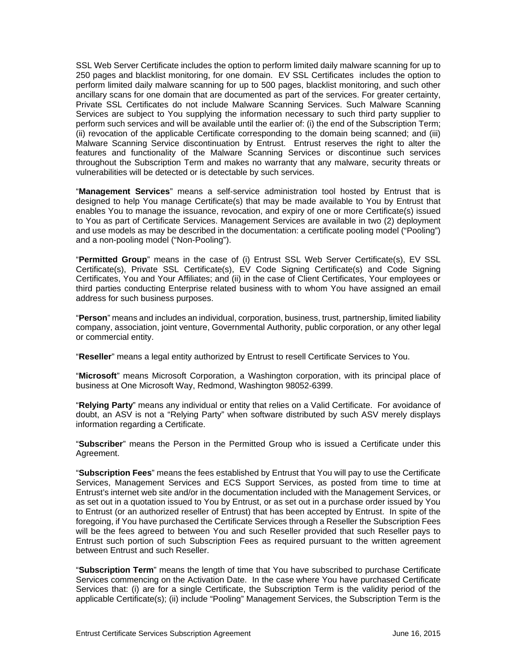SSL Web Server Certificate includes the option to perform limited daily malware scanning for up to 250 pages and blacklist monitoring, for one domain. EV SSL Certificates includes the option to perform limited daily malware scanning for up to 500 pages, blacklist monitoring, and such other ancillary scans for one domain that are documented as part of the services. For greater certainty, Private SSL Certificates do not include Malware Scanning Services. Such Malware Scanning Services are subject to You supplying the information necessary to such third party supplier to perform such services and will be available until the earlier of: (i) the end of the Subscription Term; (ii) revocation of the applicable Certificate corresponding to the domain being scanned; and (iii) Malware Scanning Service discontinuation by Entrust. Entrust reserves the right to alter the features and functionality of the Malware Scanning Services or discontinue such services throughout the Subscription Term and makes no warranty that any malware, security threats or vulnerabilities will be detected or is detectable by such services.

"**Management Services**" means a self-service administration tool hosted by Entrust that is designed to help You manage Certificate(s) that may be made available to You by Entrust that enables You to manage the issuance, revocation, and expiry of one or more Certificate(s) issued to You as part of Certificate Services. Management Services are available in two (2) deployment and use models as may be described in the documentation: a certificate pooling model ("Pooling") and a non-pooling model ("Non-Pooling").

"**Permitted Group**" means in the case of (i) Entrust SSL Web Server Certificate(s), EV SSL Certificate(s), Private SSL Certificate(s), EV Code Signing Certificate(s) and Code Signing Certificates, You and Your Affiliates; and (ii) in the case of Client Certificates, Your employees or third parties conducting Enterprise related business with to whom You have assigned an email address for such business purposes.

"**Person**" means and includes an individual, corporation, business, trust, partnership, limited liability company, association, joint venture, Governmental Authority, public corporation, or any other legal or commercial entity.

"**Reseller**" means a legal entity authorized by Entrust to resell Certificate Services to You.

"**Microsoft**" means Microsoft Corporation, a Washington corporation, with its principal place of business at One Microsoft Way, Redmond, Washington 98052-6399.

"**Relying Party**" means any individual or entity that relies on a Valid Certificate. For avoidance of doubt, an ASV is not a "Relying Party" when software distributed by such ASV merely displays information regarding a Certificate.

"**Subscriber**" means the Person in the Permitted Group who is issued a Certificate under this Agreement.

"**Subscription Fees**" means the fees established by Entrust that You will pay to use the Certificate Services, Management Services and ECS Support Services, as posted from time to time at Entrust's internet web site and/or in the documentation included with the Management Services, or as set out in a quotation issued to You by Entrust, or as set out in a purchase order issued by You to Entrust (or an authorized reseller of Entrust) that has been accepted by Entrust. In spite of the foregoing, if You have purchased the Certificate Services through a Reseller the Subscription Fees will be the fees agreed to between You and such Reseller provided that such Reseller pays to Entrust such portion of such Subscription Fees as required pursuant to the written agreement between Entrust and such Reseller.

"**Subscription Term**" means the length of time that You have subscribed to purchase Certificate Services commencing on the Activation Date. In the case where You have purchased Certificate Services that: (i) are for a single Certificate, the Subscription Term is the validity period of the applicable Certificate(s); (ii) include "Pooling" Management Services, the Subscription Term is the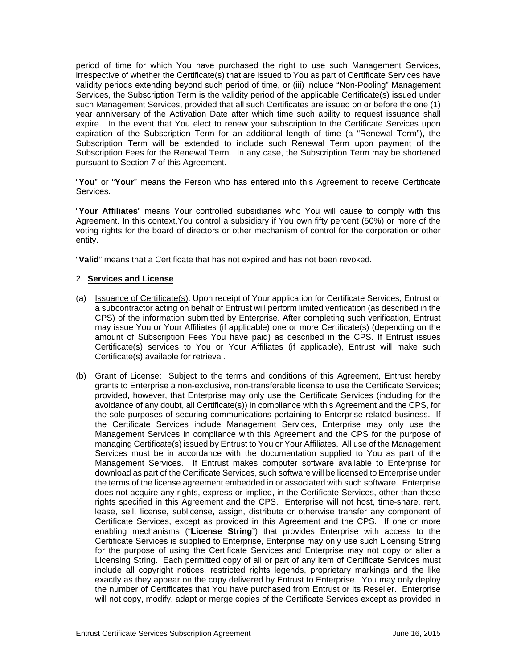period of time for which You have purchased the right to use such Management Services, irrespective of whether the Certificate(s) that are issued to You as part of Certificate Services have validity periods extending beyond such period of time, or (iii) include "Non-Pooling" Management Services, the Subscription Term is the validity period of the applicable Certificate(s) issued under such Management Services, provided that all such Certificates are issued on or before the one (1) year anniversary of the Activation Date after which time such ability to request issuance shall expire. In the event that You elect to renew your subscription to the Certificate Services upon expiration of the Subscription Term for an additional length of time (a "Renewal Term"), the Subscription Term will be extended to include such Renewal Term upon payment of the Subscription Fees for the Renewal Term. In any case, the Subscription Term may be shortened pursuant to Section 7 of this Agreement.

"**You**" or "**Your**" means the Person who has entered into this Agreement to receive Certificate Services.

"**Your Affiliates**" means Your controlled subsidiaries who You will cause to comply with this Agreement. In this context,You control a subsidiary if You own fifty percent (50%) or more of the voting rights for the board of directors or other mechanism of control for the corporation or other entity.

"**Valid**" means that a Certificate that has not expired and has not been revoked.

#### 2. **Services and License**

- (a) Issuance of Certificate(s): Upon receipt of Your application for Certificate Services, Entrust or a subcontractor acting on behalf of Entrust will perform limited verification (as described in the CPS) of the information submitted by Enterprise. After completing such verification, Entrust may issue You or Your Affiliates (if applicable) one or more Certificate(s) (depending on the amount of Subscription Fees You have paid) as described in the CPS. If Entrust issues Certificate(s) services to You or Your Affiliates (if applicable), Entrust will make such Certificate(s) available for retrieval.
- (b) Grant of License: Subject to the terms and conditions of this Agreement, Entrust hereby grants to Enterprise a non-exclusive, non-transferable license to use the Certificate Services; provided, however, that Enterprise may only use the Certificate Services (including for the avoidance of any doubt, all Certificate(s)) in compliance with this Agreement and the CPS, for the sole purposes of securing communications pertaining to Enterprise related business. If the Certificate Services include Management Services, Enterprise may only use the Management Services in compliance with this Agreement and the CPS for the purpose of managing Certificate(s) issued by Entrust to You or Your Affiliates. All use of the Management Services must be in accordance with the documentation supplied to You as part of the Management Services. If Entrust makes computer software available to Enterprise for download as part of the Certificate Services, such software will be licensed to Enterprise under the terms of the license agreement embedded in or associated with such software. Enterprise does not acquire any rights, express or implied, in the Certificate Services, other than those rights specified in this Agreement and the CPS. Enterprise will not host, time-share, rent, lease, sell, license, sublicense, assign, distribute or otherwise transfer any component of Certificate Services, except as provided in this Agreement and the CPS. If one or more enabling mechanisms ("**License String**") that provides Enterprise with access to the Certificate Services is supplied to Enterprise, Enterprise may only use such Licensing String for the purpose of using the Certificate Services and Enterprise may not copy or alter a Licensing String. Each permitted copy of all or part of any item of Certificate Services must include all copyright notices, restricted rights legends, proprietary markings and the like exactly as they appear on the copy delivered by Entrust to Enterprise. You may only deploy the number of Certificates that You have purchased from Entrust or its Reseller. Enterprise will not copy, modify, adapt or merge copies of the Certificate Services except as provided in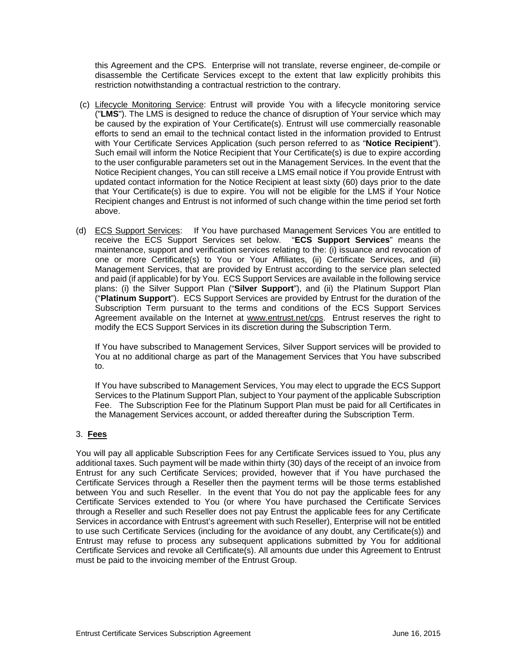this Agreement and the CPS. Enterprise will not translate, reverse engineer, de-compile or disassemble the Certificate Services except to the extent that law explicitly prohibits this restriction notwithstanding a contractual restriction to the contrary.

- (c) Lifecycle Monitoring Service: Entrust will provide You with a lifecycle monitoring service ("**LMS**"). The LMS is designed to reduce the chance of disruption of Your service which may be caused by the expiration of Your Certificate(s). Entrust will use commercially reasonable efforts to send an email to the technical contact listed in the information provided to Entrust with Your Certificate Services Application (such person referred to as "**Notice Recipient**"). Such email will inform the Notice Recipient that Your Certificate(s) is due to expire according to the user configurable parameters set out in the Management Services. In the event that the Notice Recipient changes, You can still receive a LMS email notice if You provide Entrust with updated contact information for the Notice Recipient at least sixty (60) days prior to the date that Your Certificate(s) is due to expire. You will not be eligible for the LMS if Your Notice Recipient changes and Entrust is not informed of such change within the time period set forth above.
- (d) ECS Support Services: If You have purchased Management Services You are entitled to receive the ECS Support Services set below. "**ECS Support Services**" means the maintenance, support and verification services relating to the: (i) issuance and revocation of one or more Certificate(s) to You or Your Affiliates, (ii) Certificate Services, and (iii) Management Services, that are provided by Entrust according to the service plan selected and paid (if applicable) for by You. ECS Support Services are available in the following service plans: (i) the Silver Support Plan ("**Silver Support**"), and (ii) the Platinum Support Plan ("**Platinum Support**"). ECS Support Services are provided by Entrust for the duration of the Subscription Term pursuant to the terms and conditions of the ECS Support Services Agreement available on the Internet at www.entrust.net/cps. Entrust reserves the right to modify the ECS Support Services in its discretion during the Subscription Term.

If You have subscribed to Management Services, Silver Support services will be provided to You at no additional charge as part of the Management Services that You have subscribed to.

If You have subscribed to Management Services, You may elect to upgrade the ECS Support Services to the Platinum Support Plan, subject to Your payment of the applicable Subscription Fee. The Subscription Fee for the Platinum Support Plan must be paid for all Certificates in the Management Services account, or added thereafter during the Subscription Term.

# 3. **Fees**

You will pay all applicable Subscription Fees for any Certificate Services issued to You, plus any additional taxes. Such payment will be made within thirty (30) days of the receipt of an invoice from Entrust for any such Certificate Services; provided, however that if You have purchased the Certificate Services through a Reseller then the payment terms will be those terms established between You and such Reseller. In the event that You do not pay the applicable fees for any Certificate Services extended to You (or where You have purchased the Certificate Services through a Reseller and such Reseller does not pay Entrust the applicable fees for any Certificate Services in accordance with Entrust's agreement with such Reseller), Enterprise will not be entitled to use such Certificate Services (including for the avoidance of any doubt, any Certificate(s)) and Entrust may refuse to process any subsequent applications submitted by You for additional Certificate Services and revoke all Certificate(s). All amounts due under this Agreement to Entrust must be paid to the invoicing member of the Entrust Group.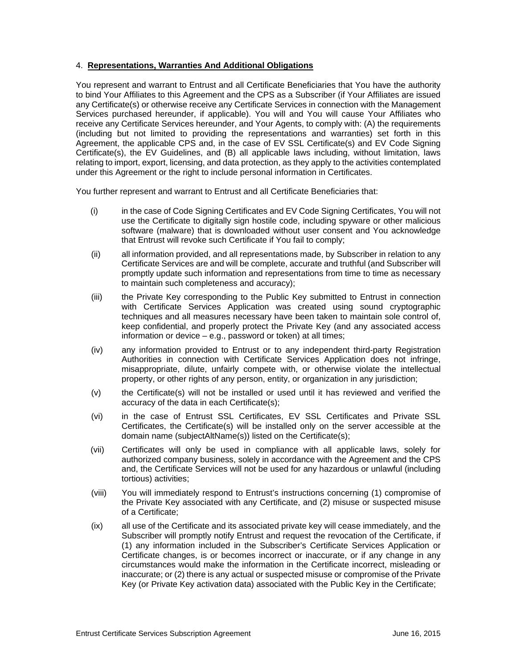#### 4. **Representations, Warranties And Additional Obligations**

You represent and warrant to Entrust and all Certificate Beneficiaries that You have the authority to bind Your Affiliates to this Agreement and the CPS as a Subscriber (if Your Affiliates are issued any Certificate(s) or otherwise receive any Certificate Services in connection with the Management Services purchased hereunder, if applicable). You will and You will cause Your Affiliates who receive any Certificate Services hereunder, and Your Agents, to comply with: (A) the requirements (including but not limited to providing the representations and warranties) set forth in this Agreement, the applicable CPS and, in the case of EV SSL Certificate(s) and EV Code Signing Certificate(s), the EV Guidelines, and (B) all applicable laws including, without limitation, laws relating to import, export, licensing, and data protection, as they apply to the activities contemplated under this Agreement or the right to include personal information in Certificates.

You further represent and warrant to Entrust and all Certificate Beneficiaries that:

- (i) in the case of Code Signing Certificates and EV Code Signing Certificates, You will not use the Certificate to digitally sign hostile code, including spyware or other malicious software (malware) that is downloaded without user consent and You acknowledge that Entrust will revoke such Certificate if You fail to comply;
- (ii) all information provided, and all representations made, by Subscriber in relation to any Certificate Services are and will be complete, accurate and truthful (and Subscriber will promptly update such information and representations from time to time as necessary to maintain such completeness and accuracy);
- (iii) the Private Key corresponding to the Public Key submitted to Entrust in connection with Certificate Services Application was created using sound cryptographic techniques and all measures necessary have been taken to maintain sole control of, keep confidential, and properly protect the Private Key (and any associated access information or device – e.g., password or token) at all times;
- (iv) any information provided to Entrust or to any independent third-party Registration Authorities in connection with Certificate Services Application does not infringe, misappropriate, dilute, unfairly compete with, or otherwise violate the intellectual property, or other rights of any person, entity, or organization in any jurisdiction;
- (v) the Certificate(s) will not be installed or used until it has reviewed and verified the accuracy of the data in each Certificate(s);
- (vi) in the case of Entrust SSL Certificates, EV SSL Certificates and Private SSL Certificates, the Certificate(s) will be installed only on the server accessible at the domain name (subjectAltName(s)) listed on the Certificate(s);
- (vii) Certificates will only be used in compliance with all applicable laws, solely for authorized company business, solely in accordance with the Agreement and the CPS and, the Certificate Services will not be used for any hazardous or unlawful (including tortious) activities;
- (viii) You will immediately respond to Entrust's instructions concerning (1) compromise of the Private Key associated with any Certificate, and (2) misuse or suspected misuse of a Certificate;
- (ix) all use of the Certificate and its associated private key will cease immediately, and the Subscriber will promptly notify Entrust and request the revocation of the Certificate, if (1) any information included in the Subscriber's Certificate Services Application or Certificate changes, is or becomes incorrect or inaccurate, or if any change in any circumstances would make the information in the Certificate incorrect, misleading or inaccurate; or (2) there is any actual or suspected misuse or compromise of the Private Key (or Private Key activation data) associated with the Public Key in the Certificate;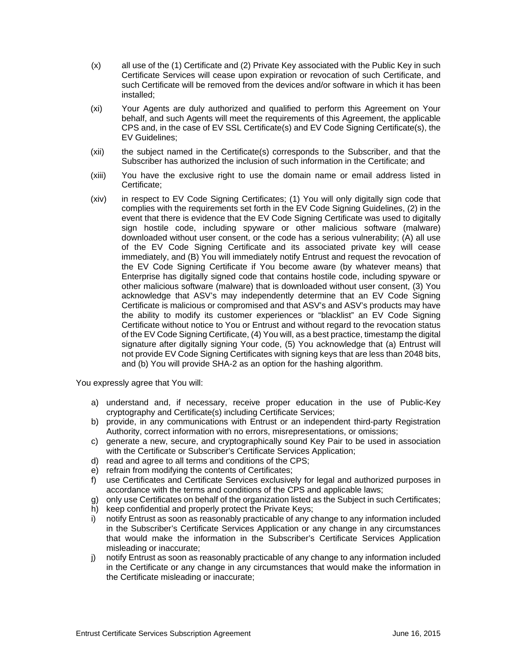- (x) all use of the (1) Certificate and (2) Private Key associated with the Public Key in such Certificate Services will cease upon expiration or revocation of such Certificate, and such Certificate will be removed from the devices and/or software in which it has been installed;
- (xi) Your Agents are duly authorized and qualified to perform this Agreement on Your behalf, and such Agents will meet the requirements of this Agreement, the applicable CPS and, in the case of EV SSL Certificate(s) and EV Code Signing Certificate(s), the EV Guidelines;
- (xii) the subject named in the Certificate(s) corresponds to the Subscriber, and that the Subscriber has authorized the inclusion of such information in the Certificate; and
- (xiii) You have the exclusive right to use the domain name or email address listed in Certificate;
- (xiv) in respect to EV Code Signing Certificates; (1) You will only digitally sign code that complies with the requirements set forth in the EV Code Signing Guidelines, (2) in the event that there is evidence that the EV Code Signing Certificate was used to digitally sign hostile code, including spyware or other malicious software (malware) downloaded without user consent, or the code has a serious vulnerability; (A) all use of the EV Code Signing Certificate and its associated private key will cease immediately, and (B) You will immediately notify Entrust and request the revocation of the EV Code Signing Certificate if You become aware (by whatever means) that Enterprise has digitally signed code that contains hostile code, including spyware or other malicious software (malware) that is downloaded without user consent, (3) You acknowledge that ASV's may independently determine that an EV Code Signing Certificate is malicious or compromised and that ASV's and ASV's products may have the ability to modify its customer experiences or "blacklist" an EV Code Signing Certificate without notice to You or Entrust and without regard to the revocation status of the EV Code Signing Certificate, (4) You will, as a best practice, timestamp the digital signature after digitally signing Your code, (5) You acknowledge that (a) Entrust will not provide EV Code Signing Certificates with signing keys that are less than 2048 bits, and (b) You will provide SHA-2 as an option for the hashing algorithm.

You expressly agree that You will:

- a) understand and, if necessary, receive proper education in the use of Public-Key cryptography and Certificate(s) including Certificate Services;
- b) provide, in any communications with Entrust or an independent third-party Registration Authority, correct information with no errors, misrepresentations, or omissions;
- c) generate a new, secure, and cryptographically sound Key Pair to be used in association with the Certificate or Subscriber's Certificate Services Application;
- d) read and agree to all terms and conditions of the CPS;
- e) refrain from modifying the contents of Certificates;
- f) use Certificates and Certificate Services exclusively for legal and authorized purposes in accordance with the terms and conditions of the CPS and applicable laws;
- g) only use Certificates on behalf of the organization listed as the Subject in such Certificates;
- h) keep confidential and properly protect the Private Keys;
- i) notify Entrust as soon as reasonably practicable of any change to any information included in the Subscriber's Certificate Services Application or any change in any circumstances that would make the information in the Subscriber's Certificate Services Application misleading or inaccurate;
- j) notify Entrust as soon as reasonably practicable of any change to any information included in the Certificate or any change in any circumstances that would make the information in the Certificate misleading or inaccurate;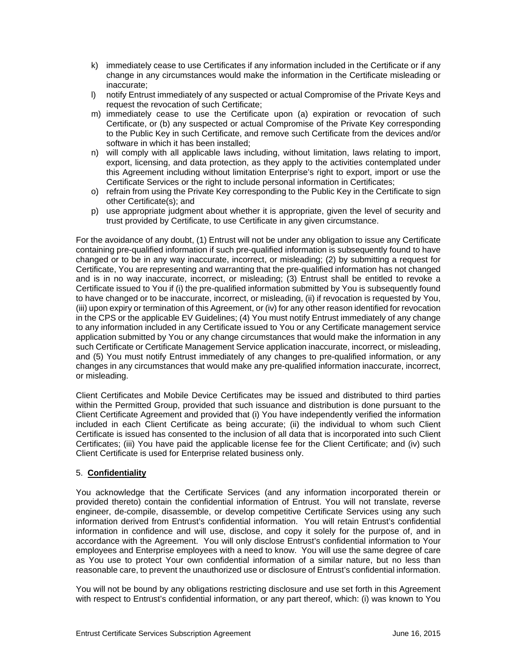- k) immediately cease to use Certificates if any information included in the Certificate or if any change in any circumstances would make the information in the Certificate misleading or inaccurate;
- l) notify Entrust immediately of any suspected or actual Compromise of the Private Keys and request the revocation of such Certificate;
- m) immediately cease to use the Certificate upon (a) expiration or revocation of such Certificate, or (b) any suspected or actual Compromise of the Private Key corresponding to the Public Key in such Certificate, and remove such Certificate from the devices and/or software in which it has been installed;
- n) will comply with all applicable laws including, without limitation, laws relating to import, export, licensing, and data protection, as they apply to the activities contemplated under this Agreement including without limitation Enterprise's right to export, import or use the Certificate Services or the right to include personal information in Certificates;
- o) refrain from using the Private Key corresponding to the Public Key in the Certificate to sign other Certificate(s); and
- p) use appropriate judgment about whether it is appropriate, given the level of security and trust provided by Certificate, to use Certificate in any given circumstance.

For the avoidance of any doubt, (1) Entrust will not be under any obligation to issue any Certificate containing pre-qualified information if such pre-qualified information is subsequently found to have changed or to be in any way inaccurate, incorrect, or misleading; (2) by submitting a request for Certificate, You are representing and warranting that the pre-qualified information has not changed and is in no way inaccurate, incorrect, or misleading; (3) Entrust shall be entitled to revoke a Certificate issued to You if (i) the pre-qualified information submitted by You is subsequently found to have changed or to be inaccurate, incorrect, or misleading, (ii) if revocation is requested by You, (iii) upon expiry or termination of this Agreement, or (iv) for any other reason identified for revocation in the CPS or the applicable EV Guidelines; (4) You must notify Entrust immediately of any change to any information included in any Certificate issued to You or any Certificate management service application submitted by You or any change circumstances that would make the information in any such Certificate or Certificate Management Service application inaccurate, incorrect, or misleading, and (5) You must notify Entrust immediately of any changes to pre-qualified information, or any changes in any circumstances that would make any pre-qualified information inaccurate, incorrect, or misleading.

Client Certificates and Mobile Device Certificates may be issued and distributed to third parties within the Permitted Group, provided that such issuance and distribution is done pursuant to the Client Certificate Agreement and provided that (i) You have independently verified the information included in each Client Certificate as being accurate; (ii) the individual to whom such Client Certificate is issued has consented to the inclusion of all data that is incorporated into such Client Certificates; (iii) You have paid the applicable license fee for the Client Certificate; and (iv) such Client Certificate is used for Enterprise related business only.

# 5. **Confidentiality**

You acknowledge that the Certificate Services (and any information incorporated therein or provided thereto) contain the confidential information of Entrust. You will not translate, reverse engineer, de-compile, disassemble, or develop competitive Certificate Services using any such information derived from Entrust's confidential information. You will retain Entrust's confidential information in confidence and will use, disclose, and copy it solely for the purpose of, and in accordance with the Agreement. You will only disclose Entrust's confidential information to Your employees and Enterprise employees with a need to know. You will use the same degree of care as You use to protect Your own confidential information of a similar nature, but no less than reasonable care, to prevent the unauthorized use or disclosure of Entrust's confidential information.

You will not be bound by any obligations restricting disclosure and use set forth in this Agreement with respect to Entrust's confidential information, or any part thereof, which: (i) was known to You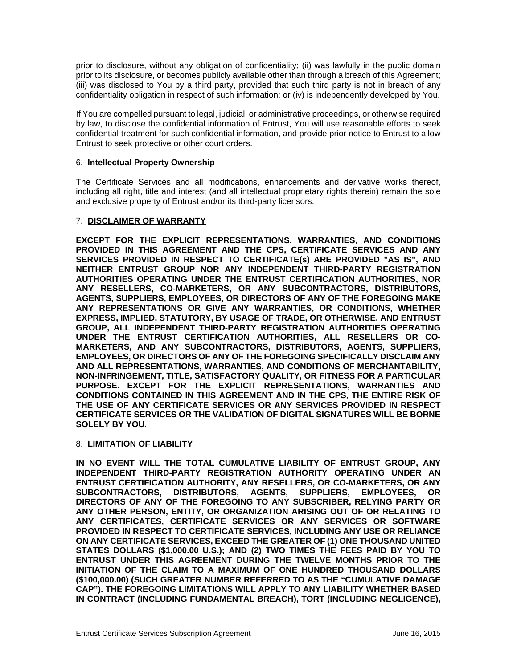prior to disclosure, without any obligation of confidentiality; (ii) was lawfully in the public domain prior to its disclosure, or becomes publicly available other than through a breach of this Agreement; (iii) was disclosed to You by a third party, provided that such third party is not in breach of any confidentiality obligation in respect of such information; or (iv) is independently developed by You.

If You are compelled pursuant to legal, judicial, or administrative proceedings, or otherwise required by law, to disclose the confidential information of Entrust, You will use reasonable efforts to seek confidential treatment for such confidential information, and provide prior notice to Entrust to allow Entrust to seek protective or other court orders.

#### 6. **Intellectual Property Ownership**

The Certificate Services and all modifications, enhancements and derivative works thereof, including all right, title and interest (and all intellectual proprietary rights therein) remain the sole and exclusive property of Entrust and/or its third-party licensors.

#### 7. **DISCLAIMER OF WARRANTY**

**EXCEPT FOR THE EXPLICIT REPRESENTATIONS, WARRANTIES, AND CONDITIONS PROVIDED IN THIS AGREEMENT AND THE CPS, CERTIFICATE SERVICES AND ANY SERVICES PROVIDED IN RESPECT TO CERTIFICATE(s) ARE PROVIDED "AS IS", AND NEITHER ENTRUST GROUP NOR ANY INDEPENDENT THIRD-PARTY REGISTRATION AUTHORITIES OPERATING UNDER THE ENTRUST CERTIFICATION AUTHORITIES, NOR ANY RESELLERS, CO-MARKETERS, OR ANY SUBCONTRACTORS, DISTRIBUTORS, AGENTS, SUPPLIERS, EMPLOYEES, OR DIRECTORS OF ANY OF THE FOREGOING MAKE ANY REPRESENTATIONS OR GIVE ANY WARRANTIES, OR CONDITIONS, WHETHER EXPRESS, IMPLIED, STATUTORY, BY USAGE OF TRADE, OR OTHERWISE, AND ENTRUST GROUP, ALL INDEPENDENT THIRD-PARTY REGISTRATION AUTHORITIES OPERATING UNDER THE ENTRUST CERTIFICATION AUTHORITIES, ALL RESELLERS OR CO-MARKETERS, AND ANY SUBCONTRACTORS, DISTRIBUTORS, AGENTS, SUPPLIERS, EMPLOYEES, OR DIRECTORS OF ANY OF THE FOREGOING SPECIFICALLY DISCLAIM ANY AND ALL REPRESENTATIONS, WARRANTIES, AND CONDITIONS OF MERCHANTABILITY, NON-INFRINGEMENT, TITLE, SATISFACTORY QUALITY, OR FITNESS FOR A PARTICULAR PURPOSE. EXCEPT FOR THE EXPLICIT REPRESENTATIONS, WARRANTIES AND CONDITIONS CONTAINED IN THIS AGREEMENT AND IN THE CPS, THE ENTIRE RISK OF THE USE OF ANY CERTIFICATE SERVICES OR ANY SERVICES PROVIDED IN RESPECT CERTIFICATE SERVICES OR THE VALIDATION OF DIGITAL SIGNATURES WILL BE BORNE SOLELY BY YOU.**

#### 8. **LIMITATION OF LIABILITY**

**IN NO EVENT WILL THE TOTAL CUMULATIVE LIABILITY OF ENTRUST GROUP, ANY INDEPENDENT THIRD-PARTY REGISTRATION AUTHORITY OPERATING UNDER AN ENTRUST CERTIFICATION AUTHORITY, ANY RESELLERS, OR CO-MARKETERS, OR ANY SUBCONTRACTORS, DISTRIBUTORS, AGENTS, SUPPLIERS, EMPLOYEES, OR DIRECTORS OF ANY OF THE FOREGOING TO ANY SUBSCRIBER, RELYING PARTY OR ANY OTHER PERSON, ENTITY, OR ORGANIZATION ARISING OUT OF OR RELATING TO ANY CERTIFICATES, CERTIFICATE SERVICES OR ANY SERVICES OR SOFTWARE PROVIDED IN RESPECT TO CERTIFICATE SERVICES, INCLUDING ANY USE OR RELIANCE ON ANY CERTIFICATE SERVICES, EXCEED THE GREATER OF (1) ONE THOUSAND UNITED STATES DOLLARS (\$1,000.00 U.S.); AND (2) TWO TIMES THE FEES PAID BY YOU TO ENTRUST UNDER THIS AGREEMENT DURING THE TWELVE MONTHS PRIOR TO THE INITIATION OF THE CLAIM TO A MAXIMUM OF ONE HUNDRED THOUSAND DOLLARS (\$100,000.00) (SUCH GREATER NUMBER REFERRED TO AS THE "CUMULATIVE DAMAGE CAP"). THE FOREGOING LIMITATIONS WILL APPLY TO ANY LIABILITY WHETHER BASED IN CONTRACT (INCLUDING FUNDAMENTAL BREACH), TORT (INCLUDING NEGLIGENCE),**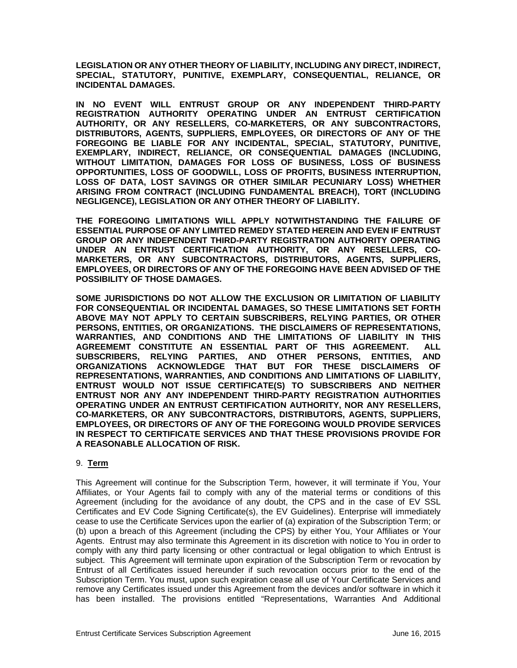**LEGISLATION OR ANY OTHER THEORY OF LIABILITY, INCLUDING ANY DIRECT, INDIRECT, SPECIAL, STATUTORY, PUNITIVE, EXEMPLARY, CONSEQUENTIAL, RELIANCE, OR INCIDENTAL DAMAGES.** 

**IN NO EVENT WILL ENTRUST GROUP OR ANY INDEPENDENT THIRD-PARTY REGISTRATION AUTHORITY OPERATING UNDER AN ENTRUST CERTIFICATION AUTHORITY, OR ANY RESELLERS, CO-MARKETERS, OR ANY SUBCONTRACTORS, DISTRIBUTORS, AGENTS, SUPPLIERS, EMPLOYEES, OR DIRECTORS OF ANY OF THE FOREGOING BE LIABLE FOR ANY INCIDENTAL, SPECIAL, STATUTORY, PUNITIVE, EXEMPLARY, INDIRECT, RELIANCE, OR CONSEQUENTIAL DAMAGES (INCLUDING, WITHOUT LIMITATION, DAMAGES FOR LOSS OF BUSINESS, LOSS OF BUSINESS OPPORTUNITIES, LOSS OF GOODWILL, LOSS OF PROFITS, BUSINESS INTERRUPTION, LOSS OF DATA, LOST SAVINGS OR OTHER SIMILAR PECUNIARY LOSS) WHETHER ARISING FROM CONTRACT (INCLUDING FUNDAMENTAL BREACH), TORT (INCLUDING NEGLIGENCE), LEGISLATION OR ANY OTHER THEORY OF LIABILITY.** 

**THE FOREGOING LIMITATIONS WILL APPLY NOTWITHSTANDING THE FAILURE OF ESSENTIAL PURPOSE OF ANY LIMITED REMEDY STATED HEREIN AND EVEN IF ENTRUST GROUP OR ANY INDEPENDENT THIRD-PARTY REGISTRATION AUTHORITY OPERATING UNDER AN ENTRUST CERTIFICATION AUTHORITY, OR ANY RESELLERS, CO-MARKETERS, OR ANY SUBCONTRACTORS, DISTRIBUTORS, AGENTS, SUPPLIERS, EMPLOYEES, OR DIRECTORS OF ANY OF THE FOREGOING HAVE BEEN ADVISED OF THE POSSIBILITY OF THOSE DAMAGES.** 

**SOME JURISDICTIONS DO NOT ALLOW THE EXCLUSION OR LIMITATION OF LIABILITY FOR CONSEQUENTIAL OR INCIDENTAL DAMAGES, SO THESE LIMITATIONS SET FORTH ABOVE MAY NOT APPLY TO CERTAIN SUBSCRIBERS, RELYING PARTIES, OR OTHER PERSONS, ENTITIES, OR ORGANIZATIONS. THE DISCLAIMERS OF REPRESENTATIONS, WARRANTIES, AND CONDITIONS AND THE LIMITATIONS OF LIABILITY IN THIS AGREEMEMT CONSTITUTE AN ESSENTIAL PART OF THIS AGREEMENT. ALL SUBSCRIBERS, RELYING PARTIES, AND OTHER PERSONS, ENTITIES, AND ORGANIZATIONS ACKNOWLEDGE THAT BUT FOR THESE DISCLAIMERS OF REPRESENTATIONS, WARRANTIES, AND CONDITIONS AND LIMITATIONS OF LIABILITY, ENTRUST WOULD NOT ISSUE CERTIFICATE(S) TO SUBSCRIBERS AND NEITHER ENTRUST NOR ANY ANY INDEPENDENT THIRD-PARTY REGISTRATION AUTHORITIES OPERATING UNDER AN ENTRUST CERTIFICATION AUTHORITY, NOR ANY RESELLERS, CO-MARKETERS, OR ANY SUBCONTRACTORS, DISTRIBUTORS, AGENTS, SUPPLIERS, EMPLOYEES, OR DIRECTORS OF ANY OF THE FOREGOING WOULD PROVIDE SERVICES IN RESPECT TO CERTIFICATE SERVICES AND THAT THESE PROVISIONS PROVIDE FOR A REASONABLE ALLOCATION OF RISK.** 

# 9. **Term**

This Agreement will continue for the Subscription Term, however, it will terminate if You, Your Affiliates, or Your Agents fail to comply with any of the material terms or conditions of this Agreement (including for the avoidance of any doubt, the CPS and in the case of EV SSL Certificates and EV Code Signing Certificate(s), the EV Guidelines). Enterprise will immediately cease to use the Certificate Services upon the earlier of (a) expiration of the Subscription Term; or (b) upon a breach of this Agreement (including the CPS) by either You, Your Affiliates or Your Agents. Entrust may also terminate this Agreement in its discretion with notice to You in order to comply with any third party licensing or other contractual or legal obligation to which Entrust is subject. This Agreement will terminate upon expiration of the Subscription Term or revocation by Entrust of all Certificates issued hereunder if such revocation occurs prior to the end of the Subscription Term. You must, upon such expiration cease all use of Your Certificate Services and remove any Certificates issued under this Agreement from the devices and/or software in which it has been installed. The provisions entitled "Representations, Warranties And Additional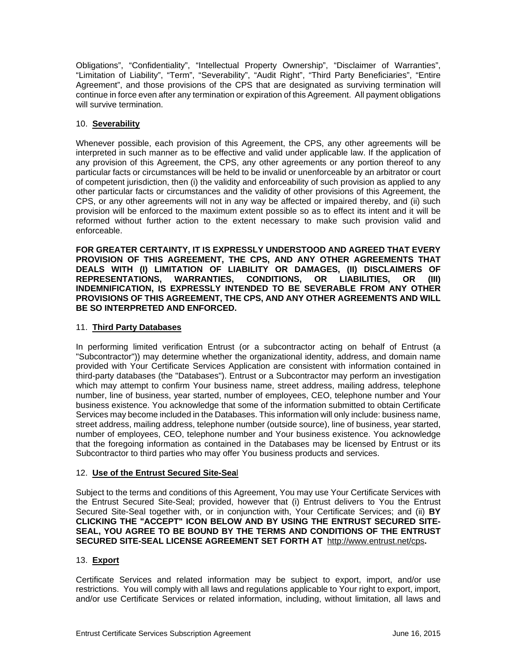Obligations", "Confidentiality", "Intellectual Property Ownership", "Disclaimer of Warranties", "Limitation of Liability", "Term", "Severability", "Audit Right", "Third Party Beneficiaries", "Entire Agreement", and those provisions of the CPS that are designated as surviving termination will continue in force even after any termination or expiration of this Agreement. All payment obligations will survive termination.

# 10. **Severability**

Whenever possible, each provision of this Agreement, the CPS, any other agreements will be interpreted in such manner as to be effective and valid under applicable law. If the application of any provision of this Agreement, the CPS, any other agreements or any portion thereof to any particular facts or circumstances will be held to be invalid or unenforceable by an arbitrator or court of competent jurisdiction, then (i) the validity and enforceability of such provision as applied to any other particular facts or circumstances and the validity of other provisions of this Agreement, the CPS, or any other agreements will not in any way be affected or impaired thereby, and (ii) such provision will be enforced to the maximum extent possible so as to effect its intent and it will be reformed without further action to the extent necessary to make such provision valid and enforceable.

**FOR GREATER CERTAINTY, IT IS EXPRESSLY UNDERSTOOD AND AGREED THAT EVERY PROVISION OF THIS AGREEMENT, THE CPS, AND ANY OTHER AGREEMENTS THAT DEALS WITH (I) LIMITATION OF LIABILITY OR DAMAGES, (II) DISCLAIMERS OF REPRESENTATIONS, WARRANTIES, CONDITIONS, OR LIABILITIES, OR (III) INDEMNIFICATION, IS EXPRESSLY INTENDED TO BE SEVERABLE FROM ANY OTHER PROVISIONS OF THIS AGREEMENT, THE CPS, AND ANY OTHER AGREEMENTS AND WILL BE SO INTERPRETED AND ENFORCED.** 

# 11. **Third Party Databases**

In performing limited verification Entrust (or a subcontractor acting on behalf of Entrust (a "Subcontractor")) may determine whether the organizational identity, address, and domain name provided with Your Certificate Services Application are consistent with information contained in third-party databases (the "Databases"). Entrust or a Subcontractor may perform an investigation which may attempt to confirm Your business name, street address, mailing address, telephone number, line of business, year started, number of employees, CEO, telephone number and Your business existence. You acknowledge that some of the information submitted to obtain Certificate Services may become included in the Databases. This information will only include: business name, street address, mailing address, telephone number (outside source), line of business, year started, number of employees, CEO, telephone number and Your business existence. You acknowledge that the foregoing information as contained in the Databases may be licensed by Entrust or its Subcontractor to third parties who may offer You business products and services.

# 12. **Use of the Entrust Secured Site-Sea**l

Subject to the terms and conditions of this Agreement, You may use Your Certificate Services with the Entrust Secured Site-Seal; provided, however that (i) Entrust delivers to You the Entrust Secured Site-Seal together with, or in conjunction with, Your Certificate Services; and (ii) **BY CLICKING THE "ACCEPT" ICON BELOW AND BY USING THE ENTRUST SECURED SITE-SEAL, YOU AGREE TO BE BOUND BY THE TERMS AND CONDITIONS OF THE ENTRUST SECURED SITE-SEAL LICENSE AGREEMENT SET FORTH AT** http://www.entrust.net/cps**.**

# 13. **Export**

Certificate Services and related information may be subject to export, import, and/or use restrictions. You will comply with all laws and regulations applicable to Your right to export, import, and/or use Certificate Services or related information, including, without limitation, all laws and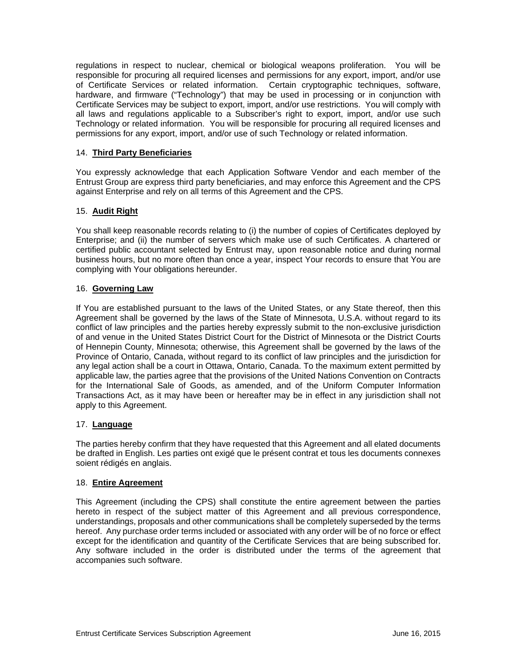regulations in respect to nuclear, chemical or biological weapons proliferation. You will be responsible for procuring all required licenses and permissions for any export, import, and/or use of Certificate Services or related information. Certain cryptographic techniques, software, hardware, and firmware ("Technology") that may be used in processing or in conjunction with Certificate Services may be subject to export, import, and/or use restrictions. You will comply with all laws and regulations applicable to a Subscriber's right to export, import, and/or use such Technology or related information. You will be responsible for procuring all required licenses and permissions for any export, import, and/or use of such Technology or related information.

# 14. **Third Party Beneficiaries**

You expressly acknowledge that each Application Software Vendor and each member of the Entrust Group are express third party beneficiaries, and may enforce this Agreement and the CPS against Enterprise and rely on all terms of this Agreement and the CPS.

#### 15. **Audit Right**

You shall keep reasonable records relating to (i) the number of copies of Certificates deployed by Enterprise; and (ii) the number of servers which make use of such Certificates. A chartered or certified public accountant selected by Entrust may, upon reasonable notice and during normal business hours, but no more often than once a year, inspect Your records to ensure that You are complying with Your obligations hereunder.

#### 16. **Governing Law**

If You are established pursuant to the laws of the United States, or any State thereof, then this Agreement shall be governed by the laws of the State of Minnesota, U.S.A. without regard to its conflict of law principles and the parties hereby expressly submit to the non-exclusive jurisdiction of and venue in the United States District Court for the District of Minnesota or the District Courts of Hennepin County, Minnesota; otherwise, this Agreement shall be governed by the laws of the Province of Ontario, Canada, without regard to its conflict of law principles and the jurisdiction for any legal action shall be a court in Ottawa, Ontario, Canada. To the maximum extent permitted by applicable law, the parties agree that the provisions of the United Nations Convention on Contracts for the International Sale of Goods, as amended, and of the Uniform Computer Information Transactions Act, as it may have been or hereafter may be in effect in any jurisdiction shall not apply to this Agreement.

#### 17. **Language**

The parties hereby confirm that they have requested that this Agreement and all elated documents be drafted in English. Les parties ont exigé que le présent contrat et tous les documents connexes soient rédigés en anglais.

## 18. **Entire Agreement**

This Agreement (including the CPS) shall constitute the entire agreement between the parties hereto in respect of the subject matter of this Agreement and all previous correspondence, understandings, proposals and other communications shall be completely superseded by the terms hereof. Any purchase order terms included or associated with any order will be of no force or effect except for the identification and quantity of the Certificate Services that are being subscribed for. Any software included in the order is distributed under the terms of the agreement that accompanies such software.